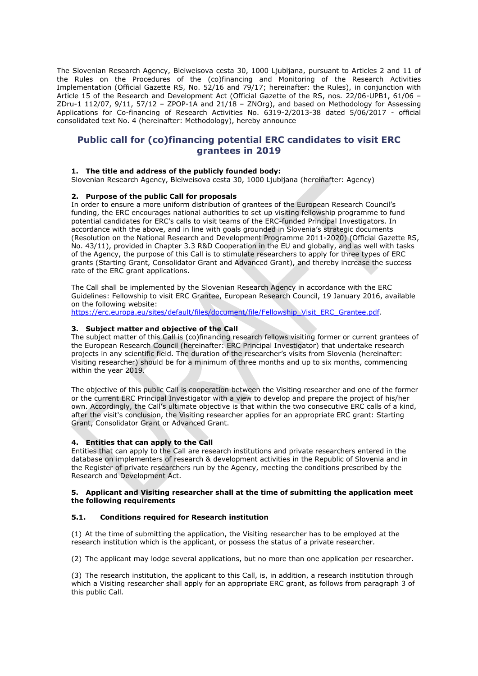The Slovenian Research Agency, Bleiweisova cesta 30, 1000 Ljubljana, pursuant to Articles 2 and 11 of the Rules on the Procedures of the (co)financing and Monitoring of the Research Activities Implementation (Official Gazette RS, No. 52/16 and 79/17; hereinafter: the Rules), in conjunction with Article 15 of the Research and Development Act (Official Gazette of the RS, nos. 22/06-UPB1, 61/06 – ZDru-1 112/07, 9/11, 57/12 – ZPOP-1A and 21/18 – ZNOrg), and based on Methodology for Assessing Applications for Co-financing of Research Activities No. 6319-2/2013-38 dated 5/06/2017 - official consolidated text No. 4 (hereinafter: Methodology), hereby announce

# **Public call for (co)financing potential ERC candidates to visit ERC grantees in 2019**

# **1. The title and address of the publicly founded body:**

Slovenian Research Agency, Bleiweisova cesta 30, 1000 Ljubljana (hereinafter: Agency)

### **2. Purpose of the public Call for proposals**

In order to ensure a more uniform distribution of grantees of the European Research Council's funding, the ERC encourages national authorities to set up visiting fellowship programme to fund potential candidates for ERC's calls to visit teams of the ERC-funded Principal Investigators. In accordance with the above, and in line with goals grounded in Slovenia's strategic documents (Resolution on the National Research and Development Programme 2011-2020) (Official Gazette RS, No. 43/11), provided in Chapter 3.3 R&D Cooperation in the EU and globally, and as well with tasks of the Agency, the purpose of this Call is to stimulate researchers to apply for three types of ERC grants (Starting Grant, Consolidator Grant and Advanced Grant), and thereby increase the success rate of the ERC grant applications.

The Call shall be implemented by the Slovenian Research Agency in accordance with the ERC Guidelines: Fellowship to visit ERC Grantee, European Research Council, 19 January 2016, available on the following website:

[https://erc.europa.eu/sites/default/files/document/file/Fellowship\\_Visit\\_ERC\\_Grantee.pdf.](https://erc.europa.eu/sites/default/files/document/file/Fellowship_Visit_ERC_Grantee.pdf)

## **3. Subject matter and objective of the Call**

The subject matter of this Call is (co)financing research fellows visiting former or current grantees of the European Research Council (hereinafter: ERC Principal Investigator) that undertake research projects in any scientific field. The duration of the researcher's visits from Slovenia (hereinafter: Visiting researcher) should be for a minimum of three months and up to six months, commencing within the year 2019.

The objective of this public Call is cooperation between the Visiting researcher and one of the former or the current ERC Principal Investigator with a view to develop and prepare the project of his/her own. Accordingly, the Call's ultimate objective is that within the two consecutive ERC calls of a kind, after the visit's conclusion, the Visiting researcher applies for an appropriate ERC grant: Starting Grant, Consolidator Grant or Advanced Grant.

# **4. Entities that can apply to the Call**

Entities that can apply to the Call are research institutions and private researchers entered in the database on implementers of research & development activities in the Republic of Slovenia and in the Register of private researchers run by the Agency, meeting the conditions prescribed by the Research and Development Act.

#### **5. Applicant and Visiting researcher shall at the time of submitting the application meet the following requirements**

#### **5.1. Conditions required for Research institution**

(1) At the time of submitting the application, the Visiting researcher has to be employed at the research institution which is the applicant, or possess the status of a private researcher.

(2) The applicant may lodge several applications, but no more than one application per researcher.

(3) The research institution, the applicant to this Call, is, in addition, a research institution through which a Visiting researcher shall apply for an appropriate ERC grant, as follows from paragraph 3 of this public Call.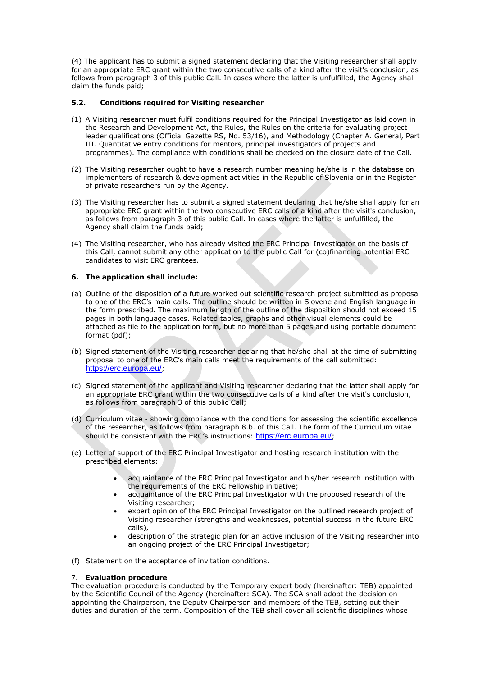(4) The applicant has to submit a signed statement declaring that the Visiting researcher shall apply for an appropriate ERC grant within the two consecutive calls of a kind after the visit's conclusion, as follows from paragraph 3 of this public Call. In cases where the latter is unfulfilled, the Agency shall claim the funds paid;

# **5.2. Conditions required for Visiting researcher**

- (1) A Visiting researcher must fulfil conditions required for the Principal Investigator as laid down in the Research and Development Act, the Rules, the Rules on the criteria for evaluating project leader qualifications (Official Gazette RS, No. 53/16), and Methodology (Chapter A. General, Part III. Quantitative entry conditions for mentors, principal investigators of projects and programmes). The compliance with conditions shall be checked on the closure date of the Call.
- (2) The Visiting researcher ought to have a research number meaning he/she is in the database on implementers of research & development activities in the Republic of Slovenia or in the Register of private researchers run by the Agency.
- (3) The Visiting researcher has to submit a signed statement declaring that he/she shall apply for an appropriate ERC grant within the two consecutive ERC calls of a kind after the visit's conclusion, as follows from paragraph 3 of this public Call. In cases where the latter is unfulfilled, the Agency shall claim the funds paid;
- (4) The Visiting researcher, who has already visited the ERC Principal Investigator on the basis of this Call, cannot submit any other application to the public Call for (co)financing potential ERC candidates to visit ERC grantees.

## **6. The application shall include:**

- (a) Outline of the disposition of a future worked out scientific research project submitted as proposal to one of the ERC's main calls. The outline should be written in Slovene and English language in the form prescribed. The maximum length of the outline of the disposition should not exceed 15 pages in both language cases. Related tables, graphs and other visual elements could be attached as file to the application form, but no more than 5 pages and using portable document format (pdf);
- (b) Signed statement of the Visiting researcher declaring that he/she shall at the time of submitting proposal to one of the ERC's main calls meet the requirements of the call submitted: https://erc.europa.eu/;
- (c) Signed statement of the applicant and Visiting researcher declaring that the latter shall apply for an appropriate ERC grant within the two consecutive calls of a kind after the visit's conclusion, as follows from paragraph 3 of this public Call;
- (d) Curriculum vitae showing compliance with the conditions for assessing the scientific excellence of the researcher, as follows from paragraph 8.b. of this Call. The form of the Curriculum vitae should be consistent with the ERC's instructions: https://erc.europa.eu/;
- (e) Letter of support of the ERC Principal Investigator and hosting research institution with the prescribed elements:
	- acquaintance of the ERC Principal Investigator and his/her research institution with the requirements of the ERC Fellowship initiative;
	- acquaintance of the ERC Principal Investigator with the proposed research of the Visiting researcher;
	- expert opinion of the ERC Principal Investigator on the outlined research project of Visiting researcher (strengths and weaknesses, potential success in the future ERC calls),
	- description of the strategic plan for an active inclusion of the Visiting researcher into an ongoing project of the ERC Principal Investigator;
- (f) Statement on the acceptance of invitation conditions.

## 7. **Evaluation procedure**

The evaluation procedure is conducted by the Temporary expert body (hereinafter: TEB) appointed by the Scientific Council of the Agency (hereinafter: SCA). The SCA shall adopt the decision on appointing the Chairperson, the Deputy Chairperson and members of the TEB, setting out their duties and duration of the term. Composition of the TEB shall cover all scientific disciplines whose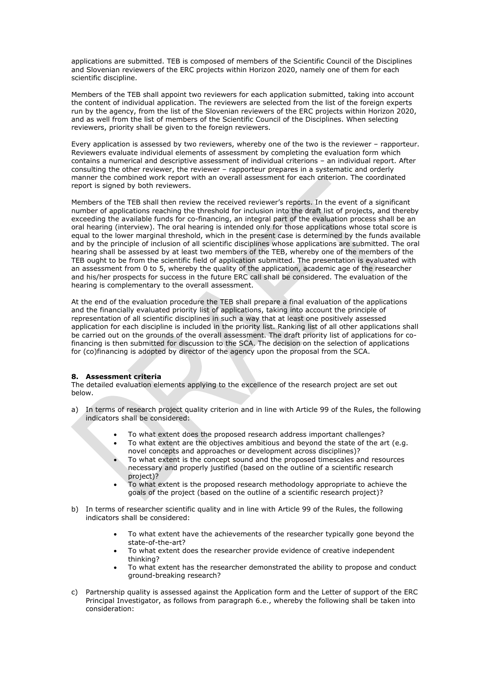applications are submitted. TEB is composed of members of the Scientific Council of the Disciplines and Slovenian reviewers of the ERC projects within Horizon 2020, namely one of them for each scientific discipline.

Members of the TEB shall appoint two reviewers for each application submitted, taking into account the content of individual application. The reviewers are selected from the list of the foreign experts run by the agency, from the list of the Slovenian reviewers of the ERC projects within Horizon 2020, and as well from the list of members of the Scientific Council of the Disciplines. When selecting reviewers, priority shall be given to the foreign reviewers.

Every application is assessed by two reviewers, whereby one of the two is the reviewer – rapporteur. Reviewers evaluate individual elements of assessment by completing the evaluation form which contains a numerical and descriptive assessment of individual criterions – an individual report. After consulting the other reviewer, the reviewer – rapporteur prepares in a systematic and orderly manner the combined work report with an overall assessment for each criterion. The coordinated report is signed by both reviewers.

Members of the TEB shall then review the received reviewer's reports. In the event of a significant number of applications reaching the threshold for inclusion into the draft list of projects, and thereby exceeding the available funds for co-financing, an integral part of the evaluation process shall be an oral hearing (interview). The oral hearing is intended only for those applications whose total score is equal to the lower marginal threshold, which in the present case is determined by the funds available and by the principle of inclusion of all scientific disciplines whose applications are submitted. The oral hearing shall be assessed by at least two members of the TEB, whereby one of the members of the TEB ought to be from the scientific field of application submitted. The presentation is evaluated with an assessment from 0 to 5, whereby the quality of the application, academic age of the researcher and his/her prospects for success in the future ERC call shall be considered. The evaluation of the hearing is complementary to the overall assessment.

At the end of the evaluation procedure the TEB shall prepare a final evaluation of the applications and the financially evaluated priority list of applications, taking into account the principle of representation of all scientific disciplines in such a way that at least one positively assessed application for each discipline is included in the priority list. Ranking list of all other applications shall be carried out on the grounds of the overall assessment. The draft priority list of applications for cofinancing is then submitted for discussion to the SCA. The decision on the selection of applications for (co)financing is adopted by director of the agency upon the proposal from the SCA.

#### **8. Assessment criteria**

The detailed evaluation elements applying to the excellence of the research project are set out below.

- a) In terms of research project quality criterion and in line with Article 99 of the Rules, the following indicators shall be considered:
	- To what extent does the proposed research address important challenges?
	- To what extent are the objectives ambitious and beyond the state of the art (e.g. novel concepts and approaches or development across disciplines)?
	- To what extent is the concept sound and the proposed timescales and resources necessary and properly justified (based on the outline of a scientific research project)?
	- To what extent is the proposed research methodology appropriate to achieve the goals of the project (based on the outline of a scientific research project)?
- b) In terms of researcher scientific quality and in line with Article 99 of the Rules, the following indicators shall be considered:
	- To what extent have the achievements of the researcher typically gone beyond the state-of-the-art?
	- To what extent does the researcher provide evidence of creative independent thinking?
	- To what extent has the researcher demonstrated the ability to propose and conduct ground-breaking research?
- c) Partnership quality is assessed against the Application form and the Letter of support of the ERC Principal Investigator, as follows from paragraph 6.e., whereby the following shall be taken into consideration: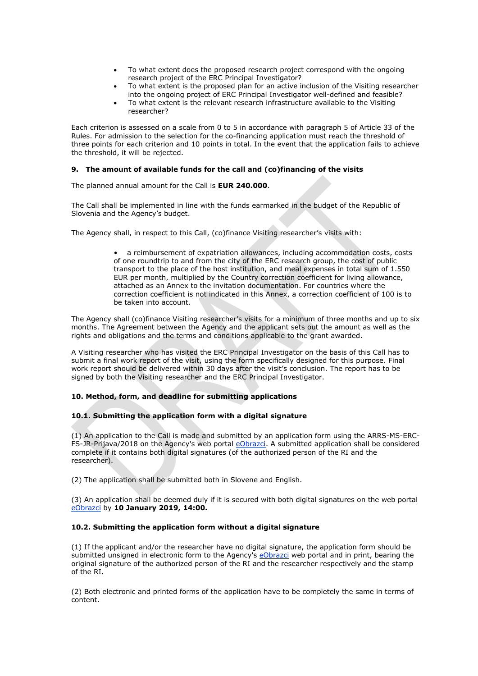- To what extent does the proposed research project correspond with the ongoing research project of the ERC Principal Investigator?
- To what extent is the proposed plan for an active inclusion of the Visiting researcher into the ongoing project of ERC Principal Investigator well-defined and feasible?
- To what extent is the relevant research infrastructure available to the Visiting researcher?

Each criterion is assessed on a scale from 0 to 5 in accordance with paragraph 5 of Article 33 of the Rules. For admission to the selection for the co-financing application must reach the threshold of three points for each criterion and 10 points in total. In the event that the application fails to achieve the threshold, it will be rejected.

### **9. The amount of available funds for the call and (co)financing of the visits**

The planned annual amount for the Call is **EUR 240.000**.

The Call shall be implemented in line with the funds earmarked in the budget of the Republic of Slovenia and the Agency's budget.

The Agency shall, in respect to this Call, (co)finance Visiting researcher's visits with:

• a reimbursement of expatriation allowances, including accommodation costs, costs of one roundtrip to and from the city of the ERC research group, the cost of public transport to the place of the host institution, and meal expenses in total sum of 1.550 EUR per month, multiplied by the Country correction coefficient for living allowance, attached as an Annex to the invitation documentation. For countries where the correction coefficient is not indicated in this Annex, a correction coefficient of 100 is to be taken into account.

The Agency shall (co)finance Visiting researcher's visits for a minimum of three months and up to six months. The Agreement between the Agency and the applicant sets out the amount as well as the rights and obligations and the terms and conditions applicable to the grant awarded.

A Visiting researcher who has visited the ERC Principal Investigator on the basis of this Call has to submit a final work report of the visit, using the form specifically designed for this purpose. Final work report should be delivered within 30 days after the visit's conclusion. The report has to be signed by both the Visiting researcher and the ERC Principal Investigator.

#### **10. Method, form, and deadline for submitting applications**

#### **10.1. Submitting the application form with a digital signature**

(1) An application to the Call is made and submitted by an application form using the ARRS-MS-ERC-FS-JR-Prijava/2018 on the Agency's web portal [eObrazci.](https://www.arrs.gov.si/eObrazciLogin/Login.aspx) A submitted application shall be considered complete if it contains both digital signatures (of the authorized person of the RI and the researcher).

(2) The application shall be submitted both in Slovene and English.

(3) An application shall be deemed duly if it is secured with both digital signatures on the web portal [eObrazci](https://www.arrs.gov.si/eObrazciLogin/Login.aspx) by **10 January 2019, 14:00.**

#### **10.2. Submitting the application form without a digital signature**

(1) If the applicant and/or the researcher have no digital signature, the application form should be submitted unsigned in electronic form to the Agency's [eObrazci](https://www.arrs.gov.si/eObrazciLogin/Login.aspx) web portal and in print, bearing the original signature of the authorized person of the RI and the researcher respectively and the stamp of the RI.

(2) Both electronic and printed forms of the application have to be completely the same in terms of content.